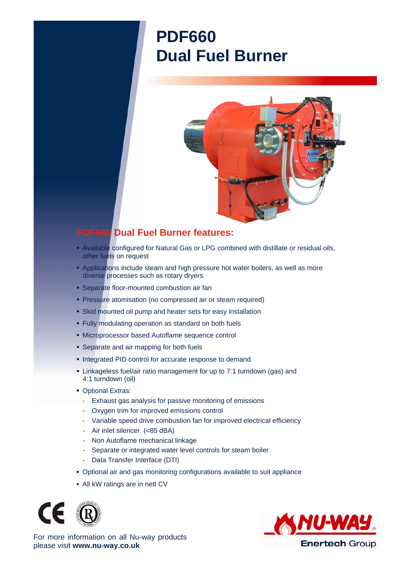## **PDF660 Dual Fuel Burner**



## **PDF660 Dual Fuel Burner features:**

- Available configured for Natural Gas or LPG combined with distillate or residual oils, other fuels on request
- **Applications include steam and high pressure hot water boilers, as well as more** diverse processes such as rotary dryers
- **Separate floor-mounted combustion air fan**
- **Pressure atomisation (no compressed air or steam required)**
- Skid mounted oil pump and heater sets for easy installation
- Fully modulating operation as standard on both fuels
- Microprocessor based Autoflame sequence control
- **Separate and air mapping for both fuels**
- **Integrated PID control for accurate response to demand**
- Linkageless fuel/air ratio management for up to 7:1 turndown (gas) and 4:1 turndown (oil)
- **Optional Extras:** 
	- Exhaust gas analysis for passive monitoring of emissions
	- Oxygen trim for improved emissions control
	- Variable speed drive combustion fan for improved electrical efficiency
	- Air inlet silencer (<85 dBA)
	- Non Autoflame mechanical linkage
	- Separate or integrated water level controls for steam boiler
	- Data Transfer Interface (DTI)
- Optional air and gas monitoring configurations available to suit appliance
- All kW ratings are in nett CV





For more information on all Nu-way products please visit **www.nu-way.co.uk**